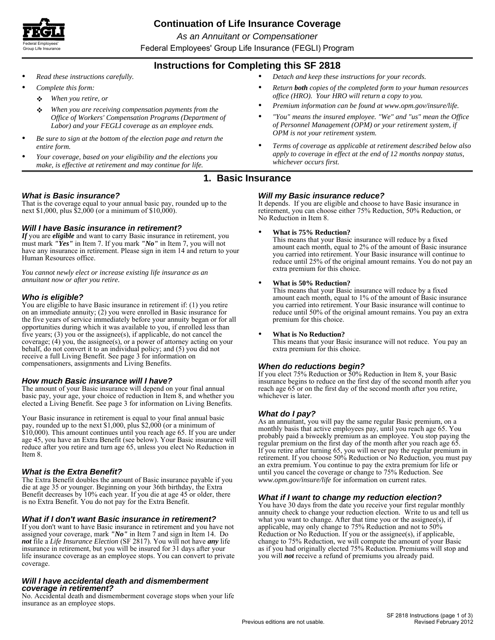

# **Continuation of Life Insurance Coverage**

*As an Annuitant or Compensationer* 

**Group Life Insurance Example 2000 Croup Life Insurance (FEGLI) Program** 

# **Instructions for Completing this SF 2818**

- 
- - ❖
	- ❖
- *Be sure to sign at the bottom of the election page and return the*
- *make, is effective at retirement and may continue for life.*
- *Read these instructions carefully. Detach and keep these instructions for your records.*
- *Complete this form: Return both copies of the completed form to your human resources* **<b>***Return both* copies of the completed form to your human resources *When you retire, or office (HRO). Your HRO will return a copy to you.*
	- *When you are receiving compensation payments from the Premium information can be found at www.opm.gov/insure/life.*
	- *Office of Workers' Compensation Programs (Department of "You" means the insured employee. "We" and "us" mean the Office Labor) and your FEGLI coverage as an employee ends. of Personnel Management (OPM) or your retirement system, if*
- *entire form. Terms of coverage as applicable at retirement described below also Your coverage, based on your eligibility and the elections you apply to coverage in effect at the end of 12 months nonpay status, whichever occurs first.*

# **1. Basic Insurance**

### *What is Basic insurance?*

That is the coverage equal to your annual basic pay, rounded up to the next \$1,000, plus \$2,000 (or a minimum of \$10,000).

## *Will I have Basic insurance in retirement?*

*If* you are *eligible* and want to carry Basic insurance in retirement, you must mark *"Yes"* in Item 7. If you mark *"No"* in Item 7, you will not have any insurance in retirement. Please sign in item 14 and return to your Human Resources office.

*You cannot newly elect or increase existing life insurance as an annuitant now or after you retire.* 

### *Who is eligible?*

You are eligible to have Basic insurance in retirement if: (1) you retire on an immediate annuity; (2) you were enrolled in Basic insurance for the five years of service immediately before your annuity began or for all opportunities during which it was available to you, if enrolled less than five years;  $(3)$  you or the assignee $(s)$ , if applicable, do not cancel the coverage; (4) you, the assignee(s), or a power of attorney acting on your behalf, do not convert it to an individual policy; and (5) you did not receive a full Living Benefit. See page 3 for information on compensationers, assignments and Living Benefits.

### *How much Basic insurance will I have?*

The amount of your Basic insurance will depend on your final annual basic pay, your age, your choice of reduction in Item 8, and whether you elected a Living Benefit. See page 3 for information on Living Benefits.

Your Basic insurance in retirement is equal to your final annual basic pay, rounded up to the next \$1,000, plus \$2,000 (or a minimum of \$10,000). This amount continues until you reach age 65. If you are under age 45, you have an Extra Benefit (see below). Your Basic insurance will reduce after you retire and turn age 65, unless you elect No Reduction in Item 8.

### *What is the Extra Benefit?*

The Extra Benefit doubles the amount of Basic insurance payable if you die at age 35 or younger. Beginning on your 36th birthday, the Extra Benefit decreases by 10% each year. If you die at age 45 or older, there is no Extra Benefit. You do not pay for the Extra Benefit.

## *What if I don't want Basic insurance in retirement?*

If you don't want to have Basic insurance in retirement and you have not assigned your coverage, mark *"No"* in Item 7 and sign in Item 14. Do *not* file a *Life Insurance Election* (SF 2817). You will not have *any* life insurance in retirement, but you will be insured for 31 days after your life insurance coverage as an employee stops. You can convert to private coverage.

### *Will I have accidental death and dismemberment coverage in retirement?*

No. Accidental death and dismemberment coverage stops when your life insurance as an employee stops.

### *Will my Basic insurance reduce?*

It depends. If you are eligible and choose to have Basic insurance in retirement, you can choose either 75% Reduction, 50% Reduction, or No Reduction in Item 8.

### **What is 75% Reduction?**

This means that your Basic insurance will reduce by a fixed amount each month, equal to 2% of the amount of Basic insurance you carried into retirement. Your Basic insurance will continue to reduce until 25% of the original amount remains. You do not pay an extra premium for this choice.

### **What is 50% Reduction?**

This means that your Basic insurance will reduce by a fixed amount each month, equal to 1% of the amount of Basic insurance you carried into retirement. Your Basic insurance will continue to reduce until 50% of the original amount remains. You pay an extra premium for this choice.

### **What is No Reduction?**

This means that your Basic insurance will not reduce. You pay an extra premium for this choice.

### *When do reductions begin?*

If you elect 75% Reduction or 50% Reduction in Item 8, your Basic insurance begins to reduce on the first day of the second month after you reach age 65 or on the first day of the second month after you retire, whichever is later.

**What do I pay?**<br>As an annuitant, you will pay the same regular Basic premium, on a monthly basis that active employees pay, until you reach age 65. You probably paid a biweekly premium as an employee. You stop paying the regular premium on the first day of the month after you reach age 65. If you retire after turning 65, you will never pay the regular premium in retirement. If you choose 50% Reduction or No Reduction, you must pay an extra premium. You continue to pay the extra premium for life or until you cancel the coverage or change to 75% Reduction. See *www.opm.gov/insure/life* for information on current rates.

### *What if I want to change my reduction election?*

You have 30 days from the date you receive your first regular monthly annuity check to change your reduction election. Write to us and tell us what you want to change. After that time you or the assignee(s), if applicable, may only change to 75% Reduction and not to 50% Reduction or No Reduction. If you or the assignee(s), if applicable, change to 75% Reduction, we will compute the amount of your Basic as if you had originally elected 75% Reduction. Premiums will stop and you will *not* receive a refund of premiums you already paid.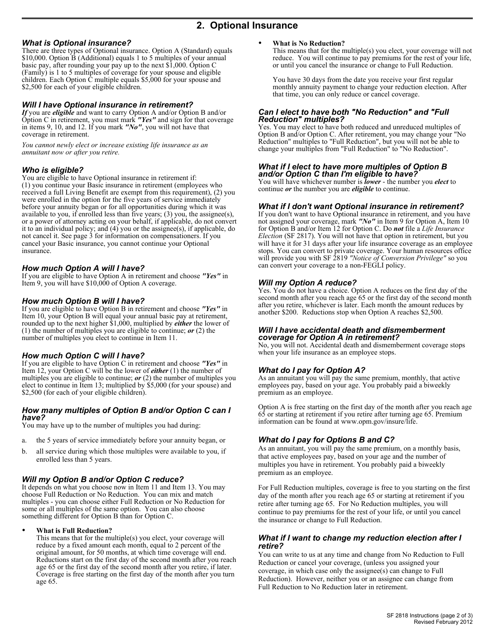# **2. Optional Insurance**

## *What is Optional insurance?*

There are three types of Optional insurance. Option A (Standard) equals \$10,000. Option B (Additional) equals 1 to 5 multiples of your annual basic pay, after rounding your pay up to the next \$1,000. Option C (Family) is 1 to 5 multiples of coverage for your spouse and eligible children. Each Option C multiple equals \$5,000 for your spouse and \$2,500 for each of your eligible children.

### *Will I have Optional insurance in retirement?*

*If* you are *eligible* and want to carry Option A and/or Option B and/or Option C in retirement, you must mark *"Yes"* and sign for that coverage in items 9, 10, and 12. If you mark *"No"*, you will not have that coverage in retirement.

*You cannot newly elect or increase existing life insurance as an annuitant now or after you retire.* 

### *Who is eligible?*

You are eligible to have Optional insurance in retirement if: (1) you continue your Basic insurance in retirement (employees who received a full Living Benefit are exempt from this requirement), (2) you were enrolled in the option for the five years of service immediately before your annuity began or for all opportunities during which it was available to you, if enrolled less than five years; (3) you, the assignee(s), or a power of attorney acting on your behalf, if applicable, do not convert it to an individual policy; and (4) you or the assignee(s), if applicable, do not cancel it. See page 3 for information on compensationers. If you cancel your Basic insurance, you cannot continue your Optional insurance.

### *How much Option A will I have?*

If you are eligible to have Option A in retirement and choose *"Yes"* in Item 9, you will have \$10,000 of Option A coverage.

### *How much Option B will I have?*

If you are eligible to have Option B in retirement and choose *"Yes"* in Item 10, your Option B will equal your annual basic pay at retirement, rounded up to the next higher \$1,000, multiplied by *either* the lower of (1) the number of multiples you are eligible to continue; *or* (2) the number of multiples you elect to continue in Item 11.

## *How much Option C will I have?*

If you are eligible to have Option C in retirement and choose *"Yes"* in Item 12, your Option C will be the lower of *either* (1) the number of multiples you are eligible to continue; *or* (2) the number of multiples you elect to continue in Item 13; multiplied by \$5,000 (for your spouse) and \$2,500 (for each of your eligible children).

### *How many multiples of Option B and/or Option C can I have?*

You may have up to the number of multiples you had during:

- a. the 5 years of service immediately before your annuity began, or
- all service during which those multiples were available to you, if enrolled less than 5 years. b.

### *Will my Option B and/or Option C reduce?*

It depends on what you choose now in Item 11 and Item 13. You may choose Full Reduction or No Reduction. You can mix and match multiples - you can choose either Full Reduction or No Reduction for some or all multiples of the same option. You can also choose something different for Option B than for Option C.

### **What is Full Reduction?**  $\bullet$

This means that for the multiple(s) you elect, your coverage will reduce by a fixed amount each month, equal to 2 percent of the original amount, for 50 months, at which time coverage will end. Reductions start on the first day of the second month after you reach age 65 or the first day of the second month after you retire, if later. Coverage is free starting on the first day of the month after you turn age 65.

### **What is No Reduction?**  $\bullet$

This means that for the multiple(s) you elect, your coverage will not reduce. You will continue to pay premiums for the rest of your life, or until you cancel the insurance or change to Full Reduction.

You have 30 days from the date you receive your first regular monthly annuity payment to change your reduction election. After that time, you can only reduce or cancel coverage.

### *Can I elect to have both "No Reduction" and "Full Reduction" multiples?*

Yes. You may elect to have both reduced and unreduced multiples of Option B and/or Option C. After retirement, you may change your "No Reduction" multiples to "Full Reduction", but you will not be able to change your multiples from "Full Reduction" to "No Reduction".

### *What if I elect to have more multiples of Option B and/or Option C than I'm eligible to have?*

You will have whichever number is *lower* - the number you *elect* to continue *or* the number you are *eligible* to continue.

### *What if I don't want Optional insurance in retirement?*

If you don't want to have Optional insurance in retirement, and you have not assigned your coverage, mark *"No"* in Item 9 for Option A, Item 10 for Option B and/or Item 12 for Option C. Do *not* file a *Life Insurance Election* (SF 2817). You will not have that option in retirement, but you will have it for 31 days after your life insurance coverage as an employee stops. You can convert to private coverage. Your human resources office will provide you with SF 2819 *"Notice of Conversion Privilege"* so you can convert your coverage to a non-FEGLI policy.

### *Will my Option A reduce?*

Yes. You do not have a choice. Option A reduces on the first day of the second month after you reach age 65 or the first day of the second month after you retire, whichever is later. Each month the amount reduces by another \$200. Reductions stop when Option A reaches \$2,500.

### *Will I have accidental death and dismemberment coverage for Option A in retirement?*

No, you will not. Accidental death and dismemberment coverage stops when your life insurance as an employee stops.

## *What do I pay for Option A?*

As an annuitant you will pay the same premium, monthly, that active employees pay, based on your age. You probably paid a biweekly premium as an employee.

Option A is free starting on the first day of the month after you reach age 65 or starting at retirement if you retire after turning age 65. Premium information can be found at www.opm.gov/insure/life.

## *What do I pay for Options B and C?*

As an annuitant, you will pay the same premium, on a monthly basis, that active employees pay, based on your age and the number of multiples you have in retirement. You probably paid a biweekly premium as an employee.

For Full Reduction multiples, coverage is free to you starting on the first day of the month after you reach age 65 or starting at retirement if you retire after turning age 65. For No Reduction multiples, you will continue to pay premiums for the rest of your life, or until you cancel the insurance or change to Full Reduction.

### *What if I want to change my reduction election after I retire?*

You can write to us at any time and change from No Reduction to Full Reduction or cancel your coverage, (unless you assigned your coverage, in which case only the assignee(s) can change to Full Reduction). However, neither you or an assignee can change from Full Reduction to No Reduction later in retirement.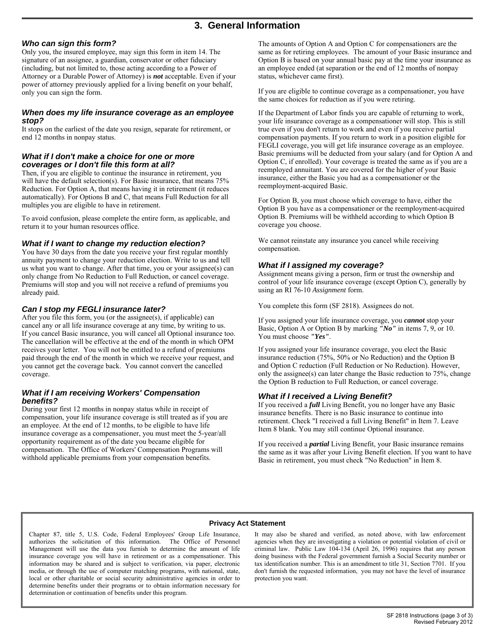# **3. General Information**

### *Who can sign this form?*

Only you, the insured employee, may sign this form in item 14. The signature of an assignee, a guardian, conservator or other fiduciary (including, but not limited to, those acting according to a Power of Attorney or a Durable Power of Attorney) is *not* acceptable. Even if your power of attorney previously applied for a living benefit on your behalf, only you can sign the form.

### *When does my life insurance coverage as an employee stop?*

It stops on the earliest of the date you resign, separate for retirement, or end 12 months in nonpay status.

### *What if I don't make a choice for one or more coverages or I don't file this form at all?*

Then, if you are eligible to continue the insurance in retirement, you will have the default selection(s). For Basic insurance, that means  $75%$ Reduction. For Option A, that means having it in retirement (it reduces automatically). For Options B and C, that means Full Reduction for all multiples you are eligible to have in retirement.

To avoid confusion, please complete the entire form, as applicable, and return it to your human resources office.

### *What if I want to change my reduction election?*

You have 30 days from the date you receive your first regular monthly annuity payment to change your reduction election. Write to us and tell us what you want to change. After that time, you or your assignee(s) can only change from No Reduction to Full Reduction, or cancel coverage. Premiums will stop and you will not receive a refund of premiums you already paid.

## *Can I stop my FEGLI insurance later?*

After you file this form, you (or the assignee(s), if applicable) can cancel any or all life insurance coverage at any time, by writing to us. If you cancel Basic insurance, you will cancel all Optional insurance too. The cancellation will be effective at the end of the month in which OPM receives your letter. You will not be entitled to a refund of premiums paid through the end of the month in which we receive your request, and you cannot get the coverage back. You cannot convert the cancelled coverage.

### *What if I am receiving Workers' Compensation benefits?*

During your first 12 months in nonpay status while in receipt of compensation, your life insurance coverage is still treated as if you are an employee. At the end of 12 months, to be eligible to have life insurance coverage as a compensationer, you must meet the 5-year/all opportunity requirement as of the date you became eligible for compensation. The Office of Workers' Compensation Programs will withhold applicable premiums from your compensation benefits.

The amounts of Option A and Option C for compensationers are the same as for retiring employees. The amount of your Basic insurance and Option B is based on your annual basic pay at the time your insurance as an employee ended (at separation or the end of 12 months of nonpay status, whichever came first).

If you are eligible to continue coverage as a compensationer, you have the same choices for reduction as if you were retiring.

If the Department of Labor finds you are capable of returning to work, your life insurance coverage as a compensationer will stop. This is still true even if you don't return to work and even if you receive partial compensation payments. If you return to work in a position eligible for FEGLI coverage, you will get life insurance coverage as an employee. Basic premiums will be deducted from your salary (and for Option A and Option C, if enrolled). Your coverage is treated the same as if you are a reemployed annuitant. You are covered for the higher of your Basic insurance, either the Basic you had as a compensationer or the reemployment-acquired Basic.

For Option B, you must choose which coverage to have, either the Option B you have as a compensationer or the reemployment-acquired Option B. Premiums will be withheld according to which Option B coverage you choose.

We cannot reinstate any insurance you cancel while receiving compensation.

### *What if I assigned my coverage?*

Assignment means giving a person, firm or trust the ownership and control of your life insurance coverage (except Option C), generally by using an RI 76-10 *Assignment* form.

You complete this form (SF 2818). Assignees do not.

If you assigned your life insurance coverage, you *cannot* stop your Basic, Option A or Option B by marking *"No"* in items 7, 9, or 10. You must choose *"Yes"*.

If you assigned your life insurance coverage, you elect the Basic insurance reduction (75%, 50% or No Reduction) and the Option B and Option C reduction (Full Reduction or No Reduction). However, only the assignee(s) can later change the Basic reduction to 75%, change the Option B reduction to Full Reduction, or cancel coverage.

## *What if I received a Living Benefit?*

If you received a *full* Living Benefit, you no longer have any Basic insurance benefits. There is no Basic insurance to continue into retirement. Check "I received a full Living Benefit" in Item 7. Leave Item 8 blank. You may still continue Optional insurance.

If you received a *partial* Living Benefit, your Basic insurance remains the same as it was after your Living Benefit election. If you want to have Basic in retirement, you must check "No Reduction" in Item 8.

### **Privacy Act Statement**

authorizes the solicitation of this information. The Office of Personnel media, or through the use of computer matching programs, with national, state, don't furnish the requested information, you may not have the level of insurance local or other charitable or social security administrative ag local or other charitable or social security administrative agencies in order to determine benefits under their programs or to obtain information necessary for determination or continuation of benefits under this program.

Chapter 87, title 5, U.S. Code, Federal Employees' Group Life Insurance, It may also be shared and verified, as noted above, with law enforcement authorizes the solicitation of this information. The Office of Personnel age Management will use the data you furnish to determine the amount of life criminal law. Public Law 104-134 (April 26, 1996) requires that any person insurance coverage you will have in retirement or as a compensationer. Thi insurance coverage you will have in retirement or as a compensationer. This doing business with the Federal government furnish a Social Security number or information may be shared and is subject to verification, via paper tax identification number. This is an amendment to title 31, Section 7701. If you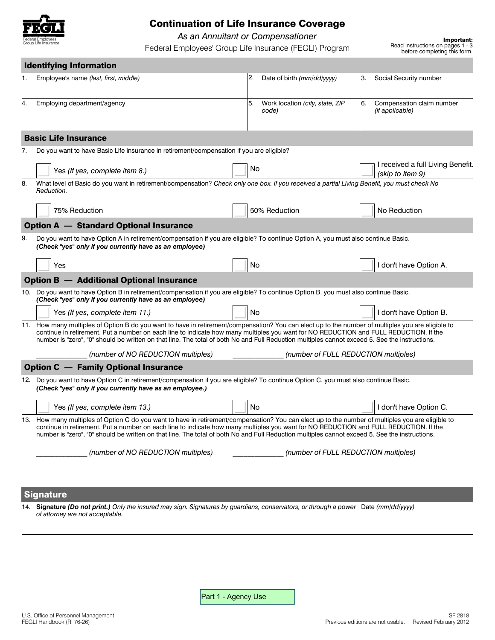

# Continuation of Life Insurance Coverage

**As an Annuitant or Compensationer**<br>3 - Important: Federal Employees' Group Life Insurance (FEGLI) Program **Fead instructions on pages 1** 

| <b>Identifying Information</b>                  |                                                                                                                                                                                                                                                                                                                                                                                                                                               |                                                                                                                                             |    |                                          |    |                                                       |
|-------------------------------------------------|-----------------------------------------------------------------------------------------------------------------------------------------------------------------------------------------------------------------------------------------------------------------------------------------------------------------------------------------------------------------------------------------------------------------------------------------------|---------------------------------------------------------------------------------------------------------------------------------------------|----|------------------------------------------|----|-------------------------------------------------------|
| 1.                                              | Employee's name (last, first, middle)                                                                                                                                                                                                                                                                                                                                                                                                         |                                                                                                                                             | 2. | Date of birth (mm/dd/yyyy)               | З. | Social Security number                                |
| 4.                                              | Employing department/agency                                                                                                                                                                                                                                                                                                                                                                                                                   |                                                                                                                                             | 5. | Work location (city, state, ZIP<br>code) | 6. | Compensation claim number<br>(if applicable)          |
| <b>Basic Life Insurance</b>                     |                                                                                                                                                                                                                                                                                                                                                                                                                                               |                                                                                                                                             |    |                                          |    |                                                       |
| 7.                                              | Do you want to have Basic Life insurance in retirement/compensation if you are eligible?                                                                                                                                                                                                                                                                                                                                                      |                                                                                                                                             |    |                                          |    |                                                       |
|                                                 | Yes (If yes, complete item 8.)                                                                                                                                                                                                                                                                                                                                                                                                                |                                                                                                                                             | No |                                          |    | I received a full Living Benefit.<br>(skip to Item 9) |
| 8.                                              | Reduction.                                                                                                                                                                                                                                                                                                                                                                                                                                    | What level of Basic do you want in retirement/compensation? Check only one box. If you received a partial Living Benefit, you must check No |    |                                          |    |                                                       |
|                                                 | 75% Reduction                                                                                                                                                                                                                                                                                                                                                                                                                                 |                                                                                                                                             |    | 50% Reduction                            |    | No Reduction                                          |
| <b>Option A - Standard Optional Insurance</b>   |                                                                                                                                                                                                                                                                                                                                                                                                                                               |                                                                                                                                             |    |                                          |    |                                                       |
| 9.                                              | Do you want to have Option A in retirement/compensation if you are eligible? To continue Option A, you must also continue Basic.<br>(Check "yes" only if you currently have as an employee)                                                                                                                                                                                                                                                   |                                                                                                                                             |    |                                          |    |                                                       |
|                                                 | Yes                                                                                                                                                                                                                                                                                                                                                                                                                                           |                                                                                                                                             | No |                                          |    | I don't have Option A.                                |
| <b>Option B - Additional Optional Insurance</b> |                                                                                                                                                                                                                                                                                                                                                                                                                                               |                                                                                                                                             |    |                                          |    |                                                       |
|                                                 | 10. Do you want to have Option B in retirement/compensation if you are eligible? To continue Option B, you must also continue Basic.<br>(Check "yes" only if you currently have as an employee)                                                                                                                                                                                                                                               |                                                                                                                                             |    |                                          |    |                                                       |
|                                                 | Yes (If yes, complete item 11.)                                                                                                                                                                                                                                                                                                                                                                                                               |                                                                                                                                             | No |                                          |    | I don't have Option B.                                |
|                                                 | 11. How many multiples of Option B do you want to have in retirement/compensation? You can elect up to the number of multiples you are eligible to<br>continue in retirement. Put a number on each line to indicate how many multiples you want for NO REDUCTION and FULL REDUCTION. If the<br>number is "zero", "0" should be written on that line. The total of both No and Full Reduction multiples cannot exceed 5. See the instructions. |                                                                                                                                             |    |                                          |    |                                                       |
|                                                 | (number of FULL REDUCTION multiples)<br>(number of NO REDUCTION multiples)                                                                                                                                                                                                                                                                                                                                                                    |                                                                                                                                             |    |                                          |    |                                                       |
| <b>Option C - Family Optional Insurance</b>     |                                                                                                                                                                                                                                                                                                                                                                                                                                               |                                                                                                                                             |    |                                          |    |                                                       |
|                                                 | 12. Do you want to have Option C in retirement/compensation if you are eligible? To continue Option C, you must also continue Basic.<br>(Check "yes" only if you currently have as an employee.)                                                                                                                                                                                                                                              |                                                                                                                                             |    |                                          |    |                                                       |
|                                                 | Yes (If yes, complete item 13.)                                                                                                                                                                                                                                                                                                                                                                                                               |                                                                                                                                             | No |                                          |    | I don't have Option C.                                |
|                                                 | 13. How many multiples of Option C do you want to have in retirement/compensation? You can elect up to the number of multiples you are eligible to<br>continue in retirement. Put a number on each line to indicate how many multiples you want for NO REDUCTION and FULL REDUCTION. If the<br>number is "zero", "0" should be written on that line. The total of both No and Full Reduction multiples cannot exceed 5. See the instructions. |                                                                                                                                             |    |                                          |    |                                                       |
|                                                 | (number of NO REDUCTION multiples)                                                                                                                                                                                                                                                                                                                                                                                                            |                                                                                                                                             |    | (number of FULL REDUCTION multiples)     |    |                                                       |
|                                                 |                                                                                                                                                                                                                                                                                                                                                                                                                                               |                                                                                                                                             |    |                                          |    |                                                       |

Signature

14. **Signature** *(Do not print.) Only the insured may sign. Signatures by guardians, conservators, or through a power* Date *(mm/dd/yyyy) of attorney are not acceptable.* 

Part 1 - Agency Use